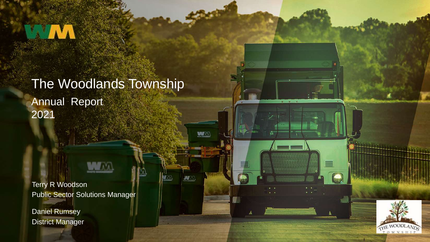## Annual Report 2021 The Woodlands Township

WWW

**MAX** 

WAX

Terry R Woodson Public Sector Solutions Manager

Daniel Rumsey District Manager

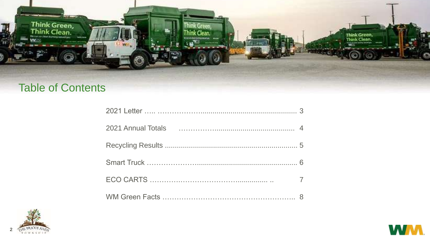

#### **Table of Contents**



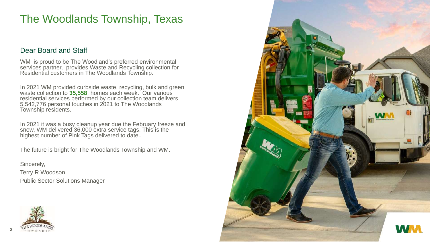#### The Woodlands Township, Texas

#### Dear Board and Staff

WM is proud to be The Woodland's preferred environmental services partner, provides Waste and Recycling collection for Residential customers in The Woodlands Township.

In 2021 WM provided curbside waste, recycling, bulk and green waste collection to **35,558**. homes each week. Our various residential services performed by our collection team delivers 5,542,776 personal touches in 2021 to The Woodlands Township residents.

In 2021 it was a busy cleanup year due the February freeze and snow, WM delivered 36,000 extra service tags. This is the highest number of Pink Tags delivered to date..

The future is bright for The Woodlands Township and WM.

Sincerely, Terry R Woodson Public Sector Solutions Manager



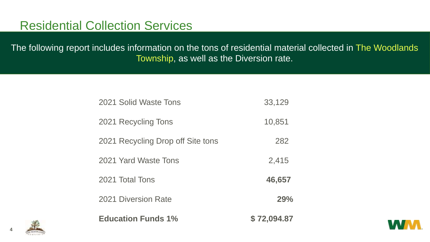### Residential Collection Services

The following report includes information on the tons of residential material collected in The Woodlands Township, as well as the Diversion rate.

| <b>Education Funds 1%</b>         | \$72,094.87 |
|-----------------------------------|-------------|
| <b>2021 Diversion Rate</b>        | 29%         |
| 2021 Total Tons                   | 46,657      |
| 2021 Yard Waste Tons              | 2,415       |
| 2021 Recycling Drop off Site tons | 282         |
| 2021 Recycling Tons               | 10,851      |
| 2021 Solid Waste Tons             | 33,129      |



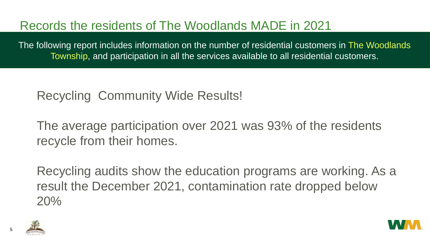# Records the residents of The Woodlands MADE in 2021

The following report includes information on the number of residential customers in The Woodlands Township, and participation in all the services available to all residential customers.

Recycling Community Wide Results!

The average participation over 2021 was 93% of the residents recycle from their homes.

Recycling audits show the education programs are working. As a result the December 2021, contamination rate dropped below 20%



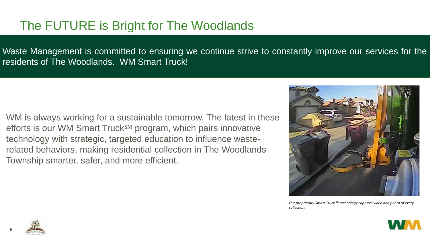# The FUTURE is Bright for The Woodlands

Waste Management is committed to ensuring we continue strive to constantly improve our services for the residents of The Woodlands. WM Smart Truck!

WM is always working for a sustainable tomorrow. The latest in these efforts is our WM Smart Truck<sup>SM</sup> program, which pairs innovative technology with strategic, targeted education to influence wasterelated behaviors, making residential collection in The Woodlands Township smarter, safer, and more efficient.



*Our proprietary Smart Truck*℠ *technology captures video and photo of every collection.*



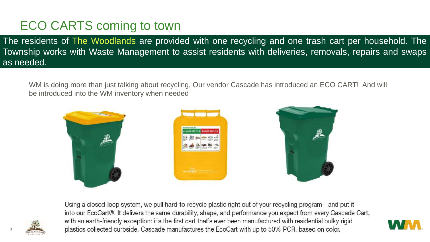# ECO CARTS coming to town

The residents of The Woodlands are provided with one recycling and one trash cart per household. The Township works with Waste Management to assist residents with deliveries, removals, repairs and swaps as needed.

WM is doing more than just talking about recycling, Our vendor Cascade has introduced an ECO CART! And will be introduced into the WM inventory when needed



Using a closed-loop system, we pull hard-to-recycle plastic right out of your recycling program—and put it into our EcoCart®. It delivers the same durability, shape, and performance you expect from every Cascade Cart, with an earth-friendly exception: it's the first cart that's ever been manufactured with residential bulky rigid plastics collected curbside. Cascade manufactures the EcoCart with up to 50% PCR, based on color.